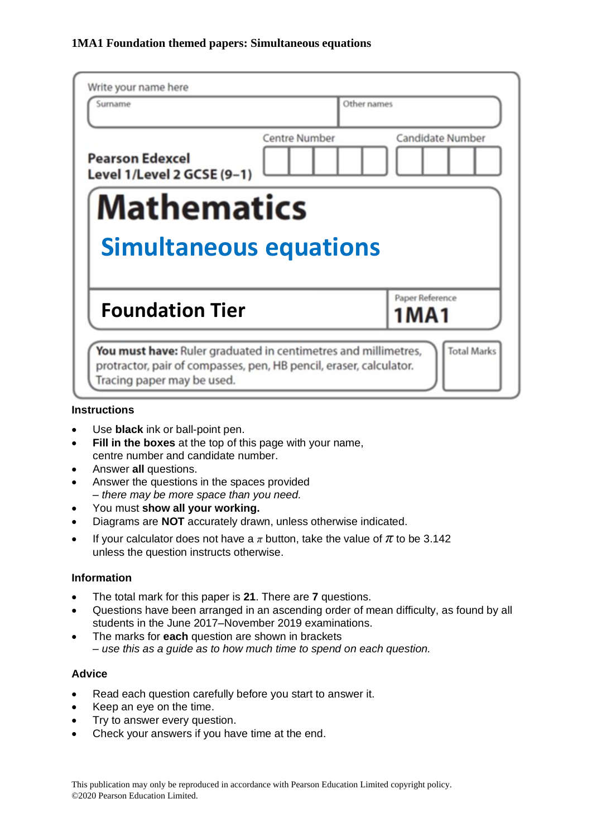| Write your name here<br>Surname                      | Other names                       |
|------------------------------------------------------|-----------------------------------|
| <b>Pearson Edexcel</b><br>Level 1/Level 2 GCSE (9-1) | Centre Number<br>Candidate Number |
| <b>Mathematics</b>                                   |                                   |
| <b>Simultaneous equations</b>                        |                                   |
| <b>Foundation Tier</b>                               | Paper Reference<br>1 M A 1        |

#### **Instructions**

- Use **black** ink or ball-point pen.
- **Fill in the boxes** at the top of this page with your name, centre number and candidate number.
- Answer **all** questions.
- Answer the questions in the spaces provided *– there may be more space than you need.*
- You must **show all your working.**
- Diagrams are **NOT** accurately drawn, unless otherwise indicated.
- If your calculator does not have a  $\pi$  button, take the value of  $\pi$  to be 3.142 unless the question instructs otherwise.

### **Information**

- The total mark for this paper is **21**. There are **7** questions.
- Questions have been arranged in an ascending order of mean difficulty, as found by all students in the June 2017–November 2019 examinations.
- The marks for **each** question are shown in brackets *– use this as a guide as to how much time to spend on each question.*

### **Advice**

- Read each question carefully before you start to answer it.
- Keep an eye on the time.
- Try to answer every question.
- Check your answers if you have time at the end.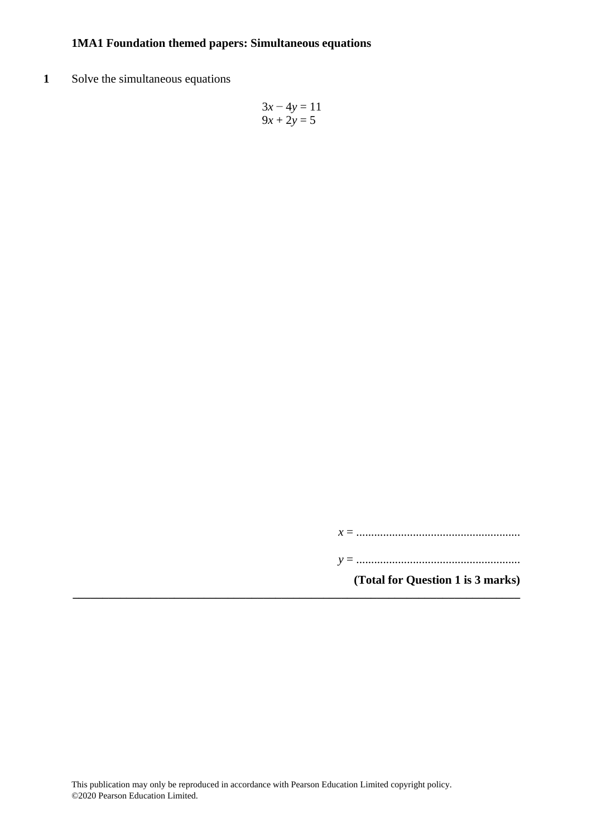**1** Solve the simultaneous equations

$$
3x - 4y = 11
$$
  

$$
9x + 2y = 5
$$

*x* = .......................................................

*y* = .......................................................

**(Total for Question 1 is 3 marks)**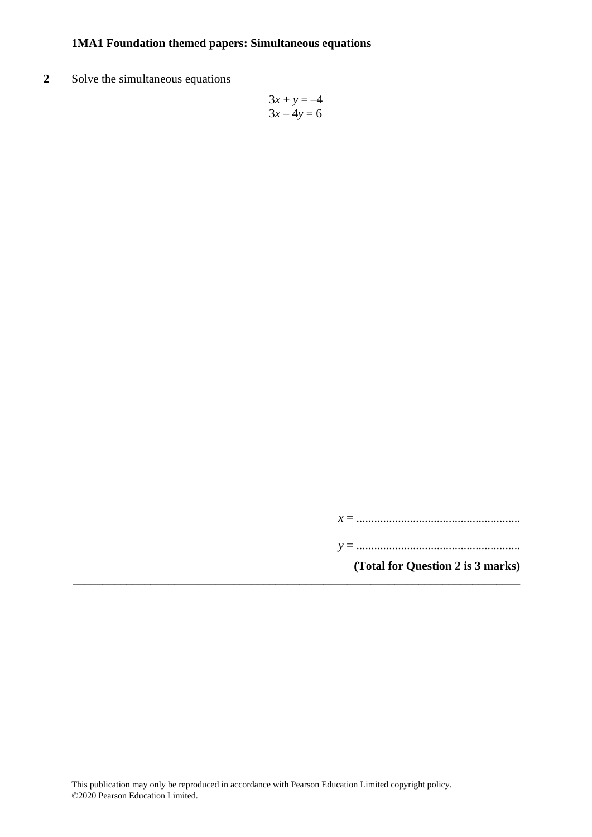**2** Solve the simultaneous equations

$$
3x + y = -4
$$

$$
3x - 4y = 6
$$

*x* = .......................................................

*y* = .......................................................

**(Total for Question 2 is 3 marks)**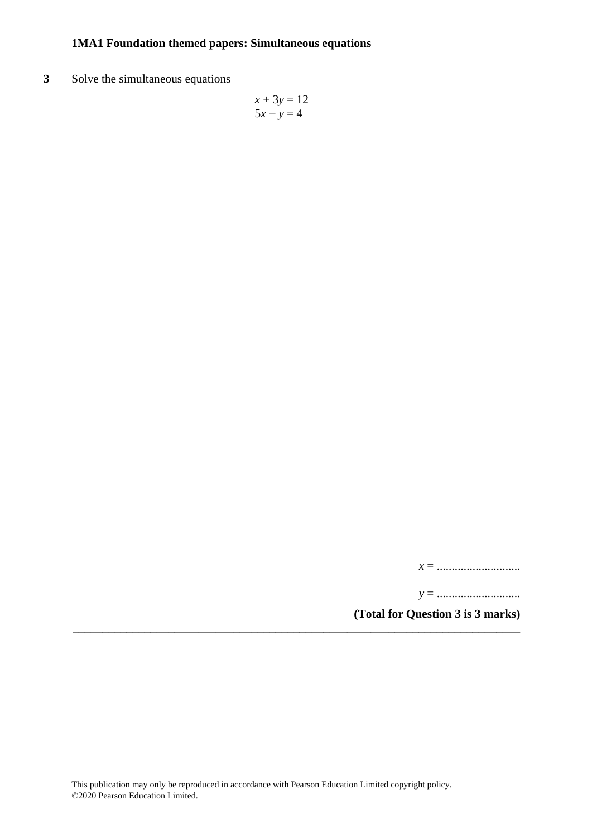**3** Solve the simultaneous equations

$$
x + 3y = 12
$$
  

$$
5x - y = 4
$$

*x* = ............................

*y* = ............................

**(Total for Question 3 is 3 marks)**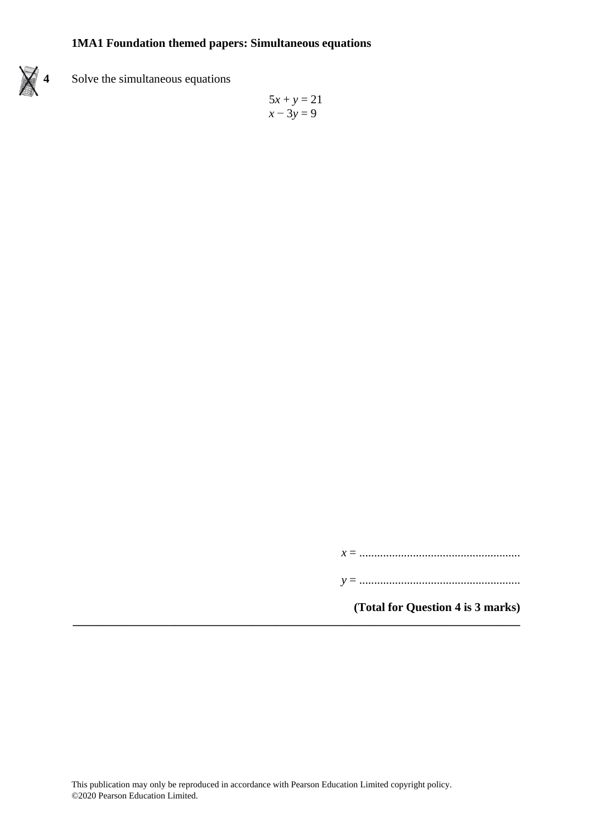

# **4** Solve the simultaneous equations

$$
5x + y = 21
$$

$$
x - 3y = 9
$$

*x* = ......................................................

*y* = ......................................................

**(Total for Question 4 is 3 marks)**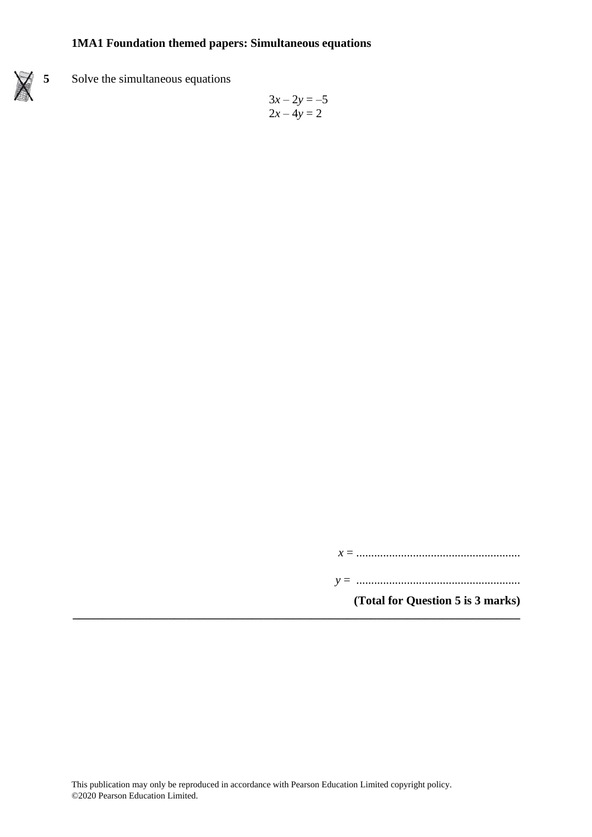

## **5** Solve the simultaneous equations

$$
3x - 2y = -5
$$
  

$$
2x - 4y = 2
$$

*x* = .......................................................

*y* = .......................................................

**(Total for Question 5 is 3 marks)**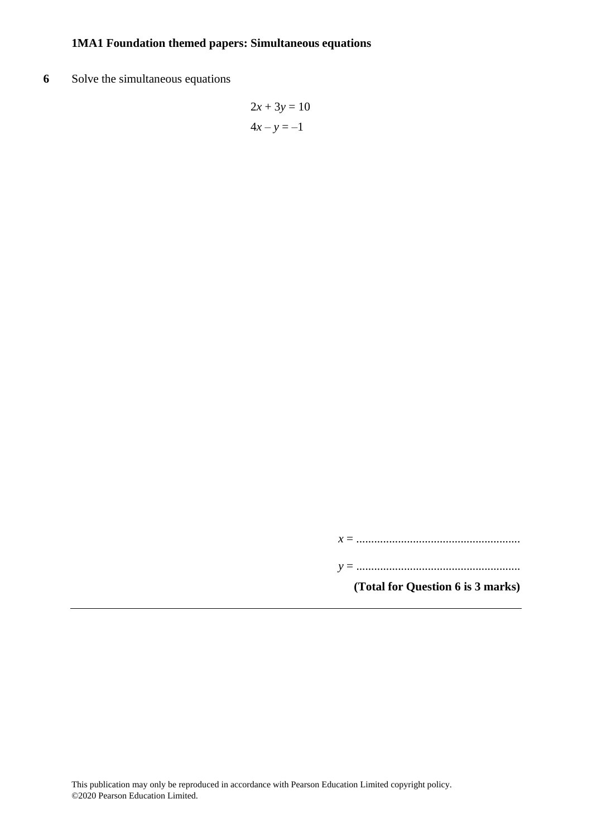**6** Solve the simultaneous equations

$$
2x + 3y = 10
$$

$$
4x - y = -1
$$

*x* = .......................................................

*y* = .......................................................

**(Total for Question 6 is 3 marks)**